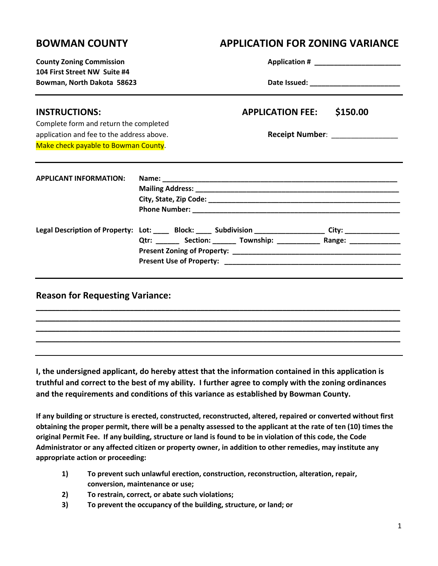# **BOWMAN COUNTY APPLICATION FOR ZONING VARIANCE County Zoning Commission Application # \_\_\_\_\_\_\_\_\_\_\_\_\_\_\_\_\_\_\_\_\_\_**

| COUNTY ZONING COMMISSION                                   |                                                                                                      |
|------------------------------------------------------------|------------------------------------------------------------------------------------------------------|
| 104 First Street NW Suite #4<br>Bowman, North Dakota 58623 |                                                                                                      |
| <b>INSTRUCTIONS:</b>                                       | <b>APPLICATION FEE:</b><br>\$150.00                                                                  |
| Complete form and return the completed                     |                                                                                                      |
| application and fee to the address above.                  | Receipt Number: ________________                                                                     |
| Make check payable to Bowman County.                       |                                                                                                      |
|                                                            |                                                                                                      |
| <b>APPLICANT INFORMATION:</b>                              |                                                                                                      |
|                                                            |                                                                                                      |
|                                                            |                                                                                                      |
|                                                            | Legal Description of Property: Lot: ____ Block: ____ Subdivision ________________ City: ____________ |
|                                                            | Qtr: ________ Section: _______ Township: _______________ Range: ________________                     |
|                                                            |                                                                                                      |
|                                                            |                                                                                                      |
|                                                            |                                                                                                      |
| <b>Reason for Requesting Variance:</b>                     |                                                                                                      |
|                                                            |                                                                                                      |

**I, the undersigned applicant, do hereby attest that the information contained in this application is truthful and correct to the best of my ability. I further agree to comply with the zoning ordinances and the requirements and conditions of this variance as established by Bowman County.**

**\_\_\_\_\_\_\_\_\_\_\_\_\_\_\_\_\_\_\_\_\_\_\_\_\_\_\_\_\_\_\_\_\_\_\_\_\_\_\_\_\_\_\_\_\_\_\_\_\_\_\_\_\_\_\_\_\_\_\_\_\_\_\_\_\_\_\_\_\_\_\_\_\_\_\_\_\_\_\_\_\_\_\_\_\_\_\_\_\_\_\_\_\_ \_\_\_\_\_\_\_\_\_\_\_\_\_\_\_\_\_\_\_\_\_\_\_\_\_\_\_\_\_\_\_\_\_\_\_\_\_\_\_\_\_\_\_\_\_\_\_\_\_\_\_\_\_\_\_\_\_\_\_\_\_\_\_\_\_\_\_\_\_\_\_\_\_\_\_\_\_\_\_\_\_\_\_\_\_\_\_\_\_\_\_\_\_**

**If any building or structure is erected, constructed, reconstructed, altered, repaired or converted without first obtaining the proper permit, there will be a penalty assessed to the applicant at the rate of ten (10) times the original Permit Fee. If any building, structure or land is found to be in violation of this code, the Code Administrator or any affected citizen or property owner, in addition to other remedies, may institute any appropriate action or proceeding:**

- **1) To prevent such unlawful erection, construction, reconstruction, alteration, repair, conversion, maintenance or use;**
- **2) To restrain, correct, or abate such violations;**
- **3) To prevent the occupancy of the building, structure, or land; or**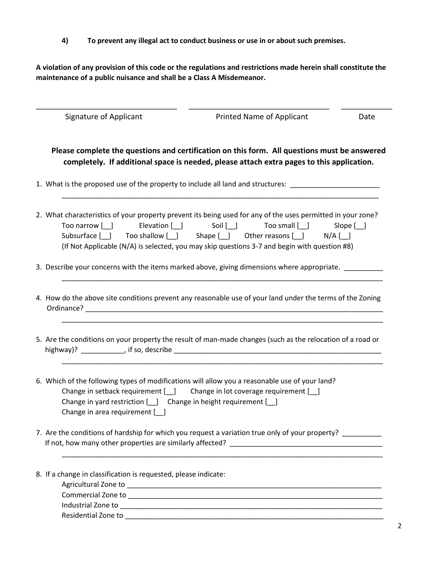**4) To prevent any illegal act to conduct business or use in or about such premises.**

**A violation of any provision of this code or the regulations and restrictions made herein shall constitute the maintenance of a public nuisance and shall be a Class A Misdemeanor.**

| Signature of Applicant                                                                               | Printed Name of Applicant                                                                                                                                                                                                                                                                                    | Date |
|------------------------------------------------------------------------------------------------------|--------------------------------------------------------------------------------------------------------------------------------------------------------------------------------------------------------------------------------------------------------------------------------------------------------------|------|
|                                                                                                      | Please complete the questions and certification on this form. All questions must be answered<br>completely. If additional space is needed, please attach extra pages to this application.                                                                                                                    |      |
|                                                                                                      | 1. What is the proposed use of the property to include all land and structures: ____________________                                                                                                                                                                                                         |      |
| Too narrow [ ] Elevation [ ] Soil [ ]                                                                | 2. What characteristics of your property prevent its being used for any of the uses permitted in your zone?<br>Too small [ ] Slope [ ]<br>Subsurface [ ] Too shallow [ ] Shape [ ] Other reasons [ ] N/A [ ]<br>(If Not Applicable (N/A) is selected, you may skip questions 3-7 and begin with question #8) |      |
|                                                                                                      | 3. Describe your concerns with the items marked above, giving dimensions where appropriate. _______                                                                                                                                                                                                          |      |
|                                                                                                      | 4. How do the above site conditions prevent any reasonable use of your land under the terms of the Zoning                                                                                                                                                                                                    |      |
|                                                                                                      | 5. Are the conditions on your property the result of man-made changes (such as the relocation of a road or                                                                                                                                                                                                   |      |
| Change in yard restriction [__] Change in height requirement [__]<br>Change in area requirement [10] | 6. Which of the following types of modifications will allow you a reasonable use of your land?<br>Change in setback requirement [ ] Change in lot coverage requirement [ ]                                                                                                                                   |      |
|                                                                                                      | 7. Are the conditions of hardship for which you request a variation true only of your property? _________                                                                                                                                                                                                    |      |
| 8. If a change in classification is requested, please indicate:                                      | Industrial Zone to <b>Annual According to the Contract of According Contract of According to the Contract of According Contract of According to the Contract of According Contract of According to the Contract of According to </b>                                                                         |      |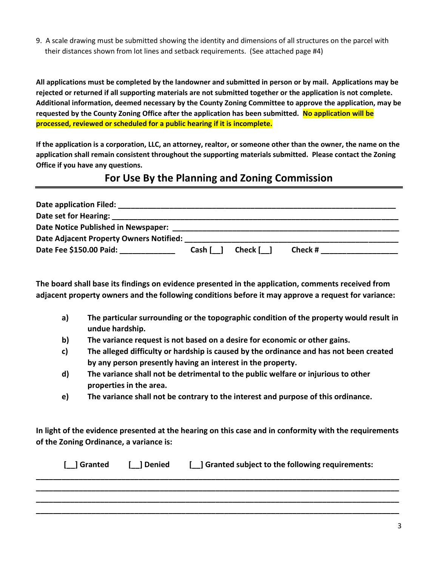9. A scale drawing must be submitted showing the identity and dimensions of all structures on the parcel with their distances shown from lot lines and setback requirements. (See attached page #4)

**All applications must be completed by the landowner and submitted in person or by mail. Applications may be rejected or returned if all supporting materials are not submitted together or the application is not complete. Additional information, deemed necessary by the County Zoning Committee to approve the application, may be requested by the County Zoning Office after the application has been submitted. No application will be processed, reviewed or scheduled for a public hearing if it is incomplete.**

**If the application is a corporation, LLC, an attorney, realtor, or someone other than the owner, the name on the application shall remain consistent throughout the supporting materials submitted. Please contact the Zoning Office if you have any questions.**

### **For Use By the Planning and Zoning Commission**

| Date application Filed:                 |        |                |         |
|-----------------------------------------|--------|----------------|---------|
| Date set for Hearing:                   |        |                |         |
| Date Notice Published in Newspaper:     |        |                |         |
| Date Adjacent Property Owners Notified: |        |                |         |
| Date Fee \$150.00 Paid:                 | Cash [ | Check <b>[</b> | Check # |

**The board shall base its findings on evidence presented in the application, comments received from adjacent property owners and the following conditions before it may approve a request for variance:**

- **a) The particular surrounding or the topographic condition of the property would result in undue hardship.**
- **b) The variance request is not based on a desire for economic or other gains.**
- **c) The alleged difficulty or hardship is caused by the ordinance and has not been created by any person presently having an interest in the property.**
- **d) The variance shall not be detrimental to the public welfare or injurious to other properties in the area.**
- **e) The variance shall not be contrary to the interest and purpose of this ordinance.**

**In light of the evidence presented at the hearing on this case and in conformity with the requirements of the Zoning Ordinance, a variance is:**

| [ ] Granted [ ] Denied | [ ] Granted subject to the following requirements: |
|------------------------|----------------------------------------------------|
|                        |                                                    |
|                        |                                                    |
|                        |                                                    |
|                        |                                                    |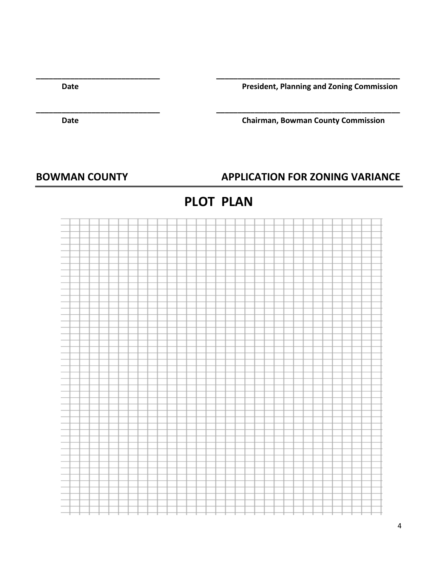**Date President, Planning and Zoning Commission**

**Date Chairman, Bowman County Commission**

### BOWMAN COUNTY **APPLICATION FOR ZONING VARIANCE**

## **PLOT PLAN**

**\_\_\_\_\_\_\_\_\_\_\_\_\_\_\_\_\_\_\_\_\_\_\_\_\_\_\_\_\_ \_\_\_\_\_\_\_\_\_\_\_\_\_\_\_\_\_\_\_\_\_\_\_\_\_\_\_\_\_\_\_\_\_\_\_\_\_\_\_\_\_\_\_**

**\_\_\_\_\_\_\_\_\_\_\_\_\_\_\_\_\_\_\_\_\_\_\_\_\_\_\_\_\_ \_\_\_\_\_\_\_\_\_\_\_\_\_\_\_\_\_\_\_\_\_\_\_\_\_\_\_\_\_\_\_\_\_\_\_\_\_\_\_\_\_\_\_**